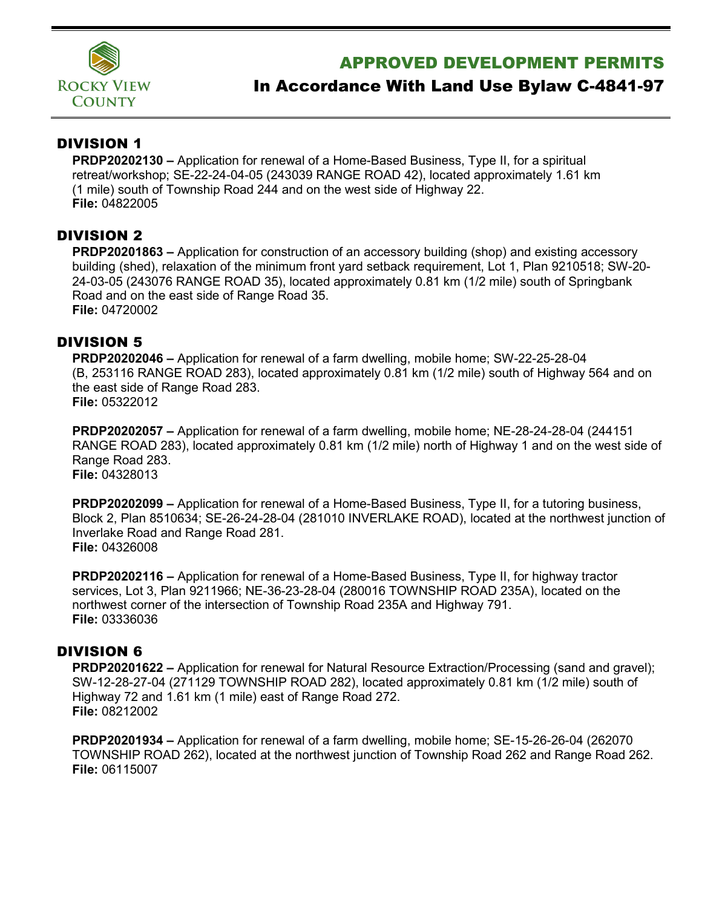

# APPROVED DEVELOPMENT PERMITS

# In Accordance With Land Use Bylaw C-4841-97

## DIVISION 1

**PRDP20202130 –** Application for renewal of a Home-Based Business, Type II, for a spiritual retreat/workshop; SE-22-24-04-05 (243039 RANGE ROAD 42), located approximately 1.61 km (1 mile) south of Township Road 244 and on the west side of Highway 22. **File:** 04822005

## DIVISION 2

**PRDP20201863 –** Application for construction of an accessory building (shop) and existing accessory building (shed), relaxation of the minimum front yard setback requirement, Lot 1, Plan 9210518; SW-20- 24-03-05 (243076 RANGE ROAD 35), located approximately 0.81 km (1/2 mile) south of Springbank Road and on the east side of Range Road 35. **File:** 04720002

### DIVISION 5

**PRDP20202046 –** Application for renewal of a farm dwelling, mobile home; SW-22-25-28-04 (B, 253116 RANGE ROAD 283), located approximately 0.81 km (1/2 mile) south of Highway 564 and on the east side of Range Road 283. **File:** 05322012

**PRDP20202057 –** Application for renewal of a farm dwelling, mobile home; NE-28-24-28-04 (244151 RANGE ROAD 283), located approximately 0.81 km (1/2 mile) north of Highway 1 and on the west side of Range Road 283. **File:** 04328013

**PRDP20202099 –** Application for renewal of a Home-Based Business, Type II, for a tutoring business, Block 2, Plan 8510634; SE-26-24-28-04 (281010 INVERLAKE ROAD), located at the northwest junction of Inverlake Road and Range Road 281. **File:** 04326008

**PRDP20202116 –** Application for renewal of a Home-Based Business, Type II, for highway tractor services, Lot 3, Plan 9211966; NE-36-23-28-04 (280016 TOWNSHIP ROAD 235A), located on the northwest corner of the intersection of Township Road 235A and Highway 791. **File:** 03336036

### DIVISION 6

**PRDP20201622 –** Application for renewal for Natural Resource Extraction/Processing (sand and gravel); SW-12-28-27-04 (271129 TOWNSHIP ROAD 282), located approximately 0.81 km (1/2 mile) south of Highway 72 and 1.61 km (1 mile) east of Range Road 272. **File:** 08212002

**PRDP20201934 –** Application for renewal of a farm dwelling, mobile home; SE-15-26-26-04 (262070 TOWNSHIP ROAD 262), located at the northwest junction of Township Road 262 and Range Road 262. **File:** 06115007